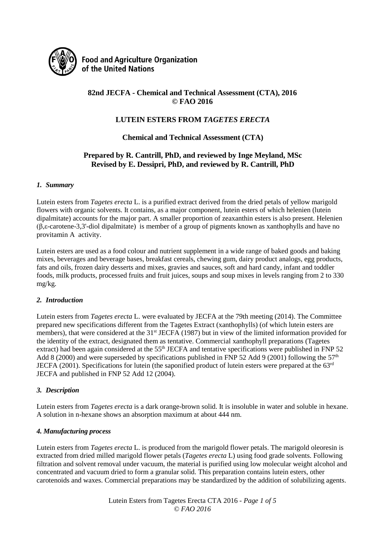

**Food and Agriculture Organization** of the United Nations

## **82nd JECFA - Chemical and Technical Assessment (CTA), 2016 © FAO 2016**

## **LUTEIN ESTERS FROM** *TAGETES ERECTA*

**Chemical and Technical Assessment (CTA)**

## **Prepared by R. Cantrill, PhD, and reviewed by Inge Meyland, MSc Revised by E. Dessipri, PhD, and reviewed by R. Cantrill, PhD**

## *1. Summary*

Lutein esters from *Tagetes erecta* L. is a purified extract derived from the dried petals of yellow marigold flowers with organic solvents. It contains, as a major component, lutein esters of which helenien (lutein dipalmitate) accounts for the major part. A smaller proportion of zeaxanthin esters is also present. Helenien (β,ε-carotene-3,3'-diol dipalmitate) is member of a group of pigments known as xanthophylls and have no provitamin A activity.

Lutein esters are used as a food colour and nutrient supplement in a wide range of baked goods and baking mixes, beverages and beverage bases, breakfast cereals, chewing gum, dairy product analogs, egg products, fats and oils, frozen dairy desserts and mixes, gravies and sauces, soft and hard candy, infant and toddler foods, milk products, processed fruits and fruit juices, soups and soup mixes in levels ranging from 2 to 330 mg/kg.

## *2. Introduction*

Lutein esters from *Tagetes erecta* L. were evaluated by JECFA at the 79th meeting (2014). The Committee prepared new specifications different from the Tagetes Extract (xanthophylls) (of which lutein esters are members), that were considered at the 31<sup>st</sup> JECFA (1987) but in view of the limited information provided for the identity of the extract, designated them as tentative. Commercial xanthophyll preparations (Tagetes extract) had been again considered at the 55<sup>th</sup> JECFA and tentative specifications were published in FNP 52 Add 8 (2000) and were superseded by specifications published in FNP 52 Add 9 (2001) following the 57<sup>th</sup> JECFA (2001). Specifications for lutein (the saponified product of lutein esters were prepared at the 63rd JECFA and published in FNP 52 Add 12 (2004).

## *3. Description*

Lutein esters from *Tagetes erecta* is a dark orange-brown solid. It is insoluble in water and soluble in hexane. A solution in n-hexane shows an absorption maximum at about 444 nm.

#### *4. Manufacturing process*

Lutein esters from *Tagetes erecta* L. is produced from the marigold flower petals. The marigold oleoresin is extracted from dried milled marigold flower petals (*Tagetes erecta* L) using food grade solvents. Following filtration and solvent removal under vacuum, the material is purified using low molecular weight alcohol and concentrated and vacuum dried to form a granular solid. This preparation contains lutein esters, other carotenoids and waxes. Commercial preparations may be standardized by the addition of solubilizing agents.

> Lutein Esters from Tagetes Erecta CTA 2016 *- Page 1 of 5 © FAO 2016*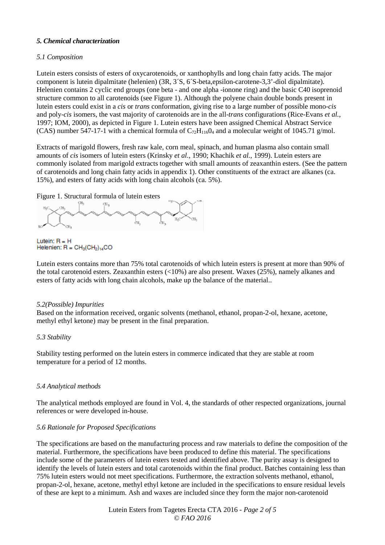## *5. Chemical characterization*

## *5.1 Composition*

Lutein esters consists of esters of oxycarotenoids, or xanthophylls and long chain fatty acids. The major component is lutein dipalmitate (helenien) (3R, 3´S, 6´S-beta,epsilon-carotene-3,3'-diol dipalmitate). Helenien contains 2 cyclic end groups (one beta - and one alpha -ionone ring) and the basic C40 isoprenoid structure common to all carotenoids (see Figure 1). Although the polyene chain double bonds present in lutein esters could exist in a *cis* or *trans* conformation, giving rise to a large number of possible mono-*cis*  and poly-*cis* isomers, the vast majority of carotenoids are in the all-*trans* configurations (Rice-Evans *et al.*, 1997; IOM, 2000), as depicted in Figure 1. Lutein esters have been assigned Chemical Abstract Service (CAS) number 547-17-1 with a chemical formula of  $C_{72}H_{116}O_4$  and a molecular weight of 1045.71 g/mol.

Extracts of marigold flowers, fresh raw kale, corn meal, spinach, and human plasma also contain small amounts of *cis* isomers of lutein esters (Krinsky *et al.*, 1990; Khachik *et al.*, 1999). Lutein esters are commonly isolated from marigold extracts together with small amounts of zeaxanthin esters. (See the pattern of carotenoids and long chain fatty acids in appendix 1). Other constituents of the extract are alkanes (ca. 15%), and esters of fatty acids with long chain alcohols (ca. 5%).

#### Figure 1. Structural formula of lutein esters

CH<sub>2</sub> CH. ŀщ åь,

Lutein:  $R = H$ Helenien:  $R = CH_3(CH_2)_{14}CO$ 

Lutein esters contains more than 75% total carotenoids of which lutein esters is present at more than 90% of the total carotenoid esters. Zeaxanthin esters (<10%) are also present. Waxes (25%), namely alkanes and esters of fatty acids with long chain alcohols, make up the balance of the material..

#### *5.2(Possible) Impurities*

Based on the information received, organic solvents (methanol, ethanol, propan-2-ol, hexane, acetone, methyl ethyl ketone) may be present in the final preparation.

#### *5.3 Stability*

Stability testing performed on the lutein esters in commerce indicated that they are stable at room temperature for a period of 12 months.

#### *5.4 Analytical methods*

The analytical methods employed are found in Vol. 4, the standards of other respected organizations, journal references or were developed in-house.

#### *5.6 Rationale for Proposed Specifications*

The specifications are based on the manufacturing process and raw materials to define the composition of the material. Furthermore, the specifications have been produced to define this material. The specifications include some of the parameters of lutein esters tested and identified above. The purity assay is designed to identify the levels of lutein esters and total carotenoids within the final product. Batches containing less than 75% lutein esters would not meet specifications. Furthermore, the extraction solvents methanol, ethanol, propan-2-ol, hexane, acetone, methyl ethyl ketone are included in the specifications to ensure residual levels of these are kept to a minimum. Ash and waxes are included since they form the major non-carotenoid

> Lutein Esters from Tagetes Erecta CTA 2016 *- Page 2 of 5 © FAO 2016*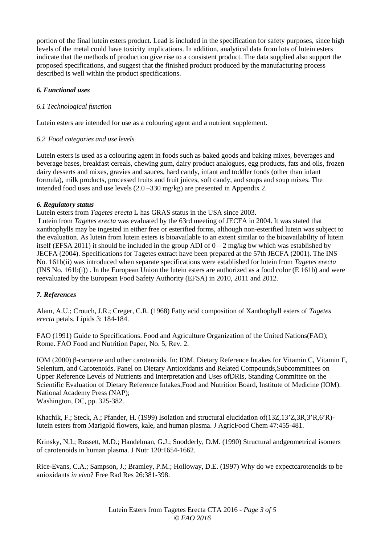portion of the final lutein esters product. Lead is included in the specification for safety purposes, since high levels of the metal could have toxicity implications. In addition, analytical data from lots of lutein esters indicate that the methods of production give rise to a consistent product. The data supplied also support the proposed specifications, and suggest that the finished product produced by the manufacturing process described is well within the product specifications.

## *6. Functional uses*

## *6.1 Technological function*

Lutein esters are intended for use as a colouring agent and a nutrient supplement.

## *6.2 Food categories and use levels*

Lutein esters is used as a colouring agent in foods such as baked goods and baking mixes, beverages and beverage bases, breakfast cereals, chewing gum, dairy product analogues, egg products, fats and oils, frozen dairy desserts and mixes, gravies and sauces, hard candy, infant and toddler foods (other than infant formula), milk products, processed fruits and fruit juices, soft candy, and soups and soup mixes. The intended food uses and use levels (2.0 –330 mg/kg) are presented in Appendix 2.

## *6. Regulatory status*

Lutein esters from *Tagetes erecta* L has GRAS status in the USA since 2003.

Lutein from *Tagetes erecta* was evaluated by the 63rd meeting of JECFA in 2004. It was stated that xanthophylls may be ingested in either free or esterified forms, although non-esterified lutein was subject to the evaluation. As lutein from lutein esters is bioavailable to an extent similar to the bioavailability of lutein itself (EFSA 2011) it should be included in the group ADI of  $0 - 2$  mg/kg bw which was established by JECFA (2004). Specifications for Tagetes extract have been prepared at the 57th JECFA (2001). The INS No. 161b(ii) was introduced when separate specifications were established for lutein from *Tagetes erecta*  (INS No. 161b(i)) . In the European Union the lutein esters are authorized as a food color (E 161b) and were reevaluated by the European Food Safety Authority (EFSA) in 2010, 2011 and 2012.

## *7. References*

Alam, A.U.; Crouch, J.R.; Creger, C.R. (1968) Fatty acid composition of Xanthophyll esters of *Tagetes erecta* petals. Lipids 3: 184-184.

FAO (1991) Guide to Specifications. Food and Agriculture Organization of the United Nations(FAO); Rome. FAO Food and Nutrition Paper, No. 5, Rev. 2.

IOM (2000) β-carotene and other carotenoids. In: IOM. Dietary Reference Intakes for Vitamin C, Vitamin E, Selenium, and Carotenoids. Panel on Dietary Antioxidants and Related Compounds,Subcommittees on Upper Reference Levels of Nutrients and Interpretation and Uses ofDRIs, Standing Committee on the Scientific Evaluation of Dietary Reference Intakes,Food and Nutrition Board, Institute of Medicine (IOM). National Academy Press (NAP); Washington, DC, pp. 325-382.

Khachik, F.; Steck, A.; Pfander, H. (1999) Isolation and structural elucidation of(13Z,13'Z,3R,3'R,6'R) lutein esters from Marigold flowers, kale, and human plasma. J AgricFood Chem 47:455-481.

Krinsky, N.I.; Russett, M.D.; Handelman, G.J.; Snodderly, D.M. (1990) Structural andgeometrical isomers of carotenoids in human plasma. J Nutr 120:1654-1662.

Rice-Evans, C.A.; Sampson, J.; Bramley, P.M.; Holloway, D.E. (1997) Why do we expectcarotenoids to be anioxidants *in vivo*? Free Rad Res 26:381-398.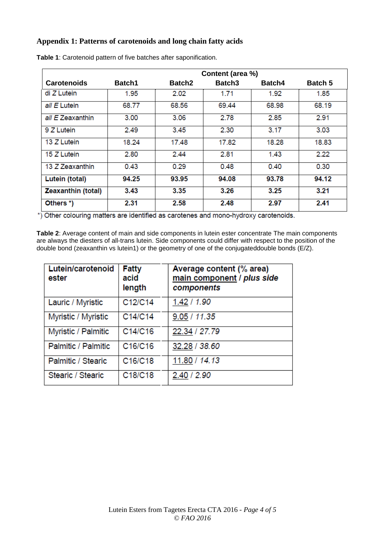## **Appendix 1: Patterns of carotenoids and long chain fatty acids**

|                    | Content (area %) |               |                    |        |                |  |
|--------------------|------------------|---------------|--------------------|--------|----------------|--|
| <b>Carotenoids</b> | <b>Batch1</b>    | <b>Batch2</b> | Batch <sub>3</sub> | Batch4 | <b>Batch 5</b> |  |
| di Z Lutein        | 1.95             | 2.02          | 1.71               | 1.92   | 1.85           |  |
| all E Lutein       | 68.77            | 68.56         | 69.44              | 68.98  | 68.19          |  |
| all E Zeaxanthin   | 3.00             | 3.06          | 2.78               | 2.85   | 2.91           |  |
| 9 Z Lutein         | 2.49             | 3.45          | 2.30               | 3.17   | 3.03           |  |
| 13 Z Lutein        | 18.24            | 17.48         | 17.82              | 18.28  | 18.83          |  |
| 15 Z Lutein        | 2.80             | 2.44          | 2.81               | 1.43   | 2.22           |  |
| 13 Z Zeaxanthin    | 0.43             | 0.29          | 0.48               | 0.40   | 0.30           |  |
| Lutein (total)     | 94.25            | 93.95         | 94.08              | 93.78  | 94.12          |  |
| Zeaxanthin (total) | 3.43             | 3.35          | 3.26               | 3.25   | 3.21           |  |
| Others *)          | 2.31             | 2.58          | 2.48               | 2.97   | 2.41           |  |

**Table 1**: Carotenoid pattern of five batches after saponification.

\*) Other colouring matters are identified as carotenes and mono-hydroxy carotenoids.

**Table 2**: Average content of main and side components in lutein ester concentrate The main components are always the diesters of all-trans lutein. Side components could differ with respect to the position of the double bond (zeaxanthin vs lutein1) or the geometry of one of the conjugateddouble bonds (E/Z).

| Lutein/carotenoid<br>ester | <b>Fatty</b><br>acid<br>length | Average content (% area)<br>main component / plus side<br>components |
|----------------------------|--------------------------------|----------------------------------------------------------------------|
| Lauric / Myristic          | C12/C14                        | 1.42 / 1.90                                                          |
| Myristic / Myristic        | C14/C14                        | 9.05 / 11.35                                                         |
| Myristic / Palmitic        | C14/C16                        | 22.34 / 27.79                                                        |
| Palmitic / Palmitic        | C16/C16                        | 32.28 / 38.60                                                        |
| Palmitic / Stearic         | C16/C18                        | 11.80 / 14.13                                                        |
| Stearic / Stearic          | C18/C18                        | 2.40 / 2.90                                                          |